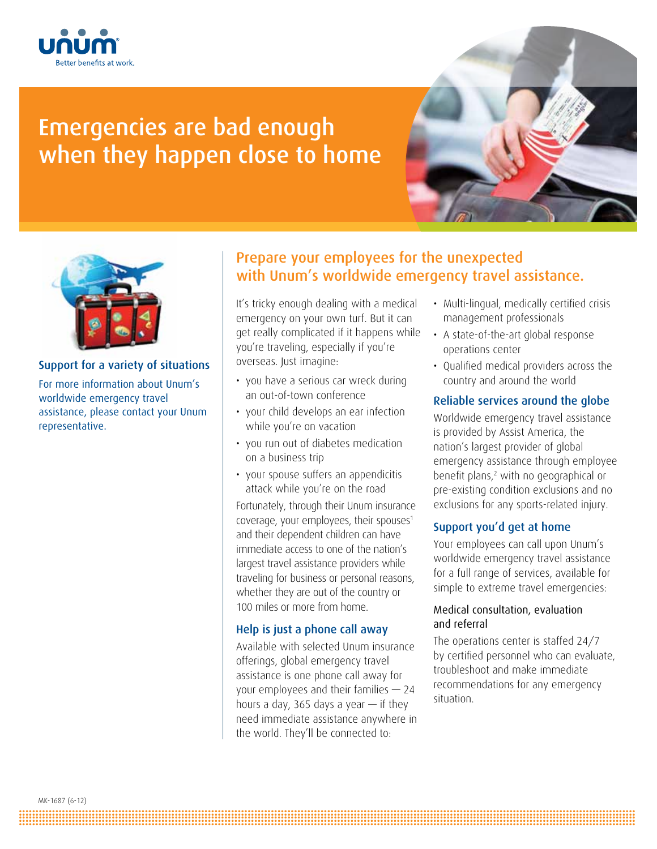

# Emergencies are bad enough when they happen close to home





## Support for a variety of situations

For more information about Unum's worldwide emergency travel assistance, please contact your Unum representative.

## Prepare your employees for the unexpected with Unum's worldwide emergency travel assistance.

It's tricky enough dealing with a medical emergency on your own turf. But it can get really complicated if it happens while you're traveling, especially if you're overseas. Just imagine:

- you have a serious car wreck during an out-of-town conference
- your child develops an ear infection while you're on vacation
- you run out of diabetes medication on a business trip
- your spouse suffers an appendicitis attack while you're on the road

Fortunately, through their Unum insurance coverage, your employees, their spouses<sup>1</sup> and their dependent children can have immediate access to one of the nation's largest travel assistance providers while traveling for business or personal reasons, whether they are out of the country or 100 miles or more from home.

## Help is just a phone call away

Available with selected Unum insurance offerings, global emergency travel assistance is one phone call away for your employees and their families — 24 hours a day, 365 days a year  $-$  if they need immediate assistance anywhere in the world. They'll be connected to:

**.......................................................................................................................................................................................... .......................................................................................................................................................................................... ..........................................................................................................................................................................................**

- Multi-lingual, medically certified crisis management professionals
- A state-of-the-art global response operations center
- • Qualified medical providers across the country and around the world

## Reliable services around the globe

Worldwide emergency travel assistance is provided by Assist America, the nation's largest provider of global emergency assistance through employee benefit plans,2 with no geographical or pre-existing condition exclusions and no exclusions for any sports-related injury.

## Support you'd get at home

Your employees can call upon Unum's worldwide emergency travel assistance for a full range of services, available for simple to extreme travel emergencies:

### Medical consultation, evaluation and referral

The operations center is staffed 24/7 by certified personnel who can evaluate, troubleshoot and make immediate recommendations for any emergency situation.